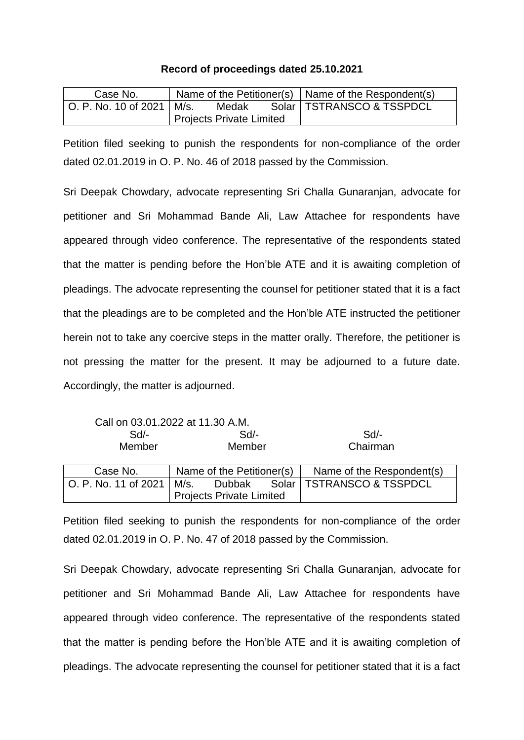## **Record of proceedings dated 25.10.2021**

| Case No.                      |                          |       |  | Name of the Petitioner(s) $\vert$ Name of the Respondent(s) |
|-------------------------------|--------------------------|-------|--|-------------------------------------------------------------|
| └ O. P. No. 10 of 2021 │ M/s. |                          | Medak |  | Solar   TSTRANSCO & TSSPDCL                                 |
|                               | Projects Private Limited |       |  |                                                             |

Petition filed seeking to punish the respondents for non-compliance of the order dated 02.01.2019 in O. P. No. 46 of 2018 passed by the Commission.

Sri Deepak Chowdary, advocate representing Sri Challa Gunaranjan, advocate for petitioner and Sri Mohammad Bande Ali, Law Attachee for respondents have appeared through video conference. The representative of the respondents stated that the matter is pending before the Hon'ble ATE and it is awaiting completion of pleadings. The advocate representing the counsel for petitioner stated that it is a fact that the pleadings are to be completed and the Hon'ble ATE instructed the petitioner herein not to take any coercive steps in the matter orally. Therefore, the petitioner is not pressing the matter for the present. It may be adjourned to a future date. Accordingly, the matter is adjourned.

Call on 03.01.2022 at 11.30 A.M.

| $Sd$ -<br>Member     | Sd<br>Member                    |        |  | Sd<br>Chairman              |
|----------------------|---------------------------------|--------|--|-----------------------------|
| Case No.             | Name of the Petitioner(s)       |        |  | Name of the Respondent(s)   |
| O. P. No. 11 of 2021 | M/s.                            | Dubbak |  | Solar   TSTRANSCO & TSSPDCL |
|                      | <b>Projects Private Limited</b> |        |  |                             |

Petition filed seeking to punish the respondents for non-compliance of the order dated 02.01.2019 in O. P. No. 47 of 2018 passed by the Commission.

Sri Deepak Chowdary, advocate representing Sri Challa Gunaranjan, advocate for petitioner and Sri Mohammad Bande Ali, Law Attachee for respondents have appeared through video conference. The representative of the respondents stated that the matter is pending before the Hon'ble ATE and it is awaiting completion of pleadings. The advocate representing the counsel for petitioner stated that it is a fact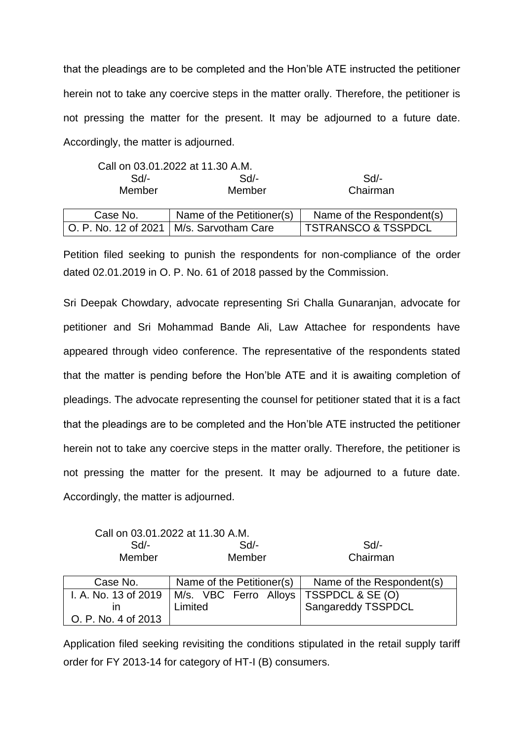that the pleadings are to be completed and the Hon'ble ATE instructed the petitioner herein not to take any coercive steps in the matter orally. Therefore, the petitioner is not pressing the matter for the present. It may be adjourned to a future date. Accordingly, the matter is adjourned.

|          | Call on 03.01.2022 at 11.30 A.M.           |                                |
|----------|--------------------------------------------|--------------------------------|
| $Sd$ -   | $Sd$ -                                     | Sd                             |
| Member   | Member                                     | Chairman                       |
| Case No. | Name of the Petitioner(s)                  | Name of the Respondent(s)      |
|          | O. P. No. 12 of 2021   M/s. Sarvotham Care | <b>TSTRANSCO &amp; TSSPDCL</b> |

Petition filed seeking to punish the respondents for non-compliance of the order dated 02.01.2019 in O. P. No. 61 of 2018 passed by the Commission.

Sri Deepak Chowdary, advocate representing Sri Challa Gunaranjan, advocate for petitioner and Sri Mohammad Bande Ali, Law Attachee for respondents have appeared through video conference. The representative of the respondents stated that the matter is pending before the Hon'ble ATE and it is awaiting completion of pleadings. The advocate representing the counsel for petitioner stated that it is a fact that the pleadings are to be completed and the Hon'ble ATE instructed the petitioner herein not to take any coercive steps in the matter orally. Therefore, the petitioner is not pressing the matter for the present. It may be adjourned to a future date. Accordingly, the matter is adjourned.

| Call on 03.01.2022 at 11.30 A.M. |        |          |
|----------------------------------|--------|----------|
| $Sd$ -                           | Sd     | Sd       |
| Member                           | Member | Chairman |

| Case No.             | Name of the Petitioner(s)                           | Name of the Respondent(s) |
|----------------------|-----------------------------------------------------|---------------------------|
| I. A. No. 13 of 2019 | M/s. VBC Ferro Alloys   TSSPDCL & SE (O)<br>Limited | Sangareddy TSSPDCL        |
| O. P. No. 4 of 2013  |                                                     |                           |

Application filed seeking revisiting the conditions stipulated in the retail supply tariff order for FY 2013-14 for category of HT-I (B) consumers.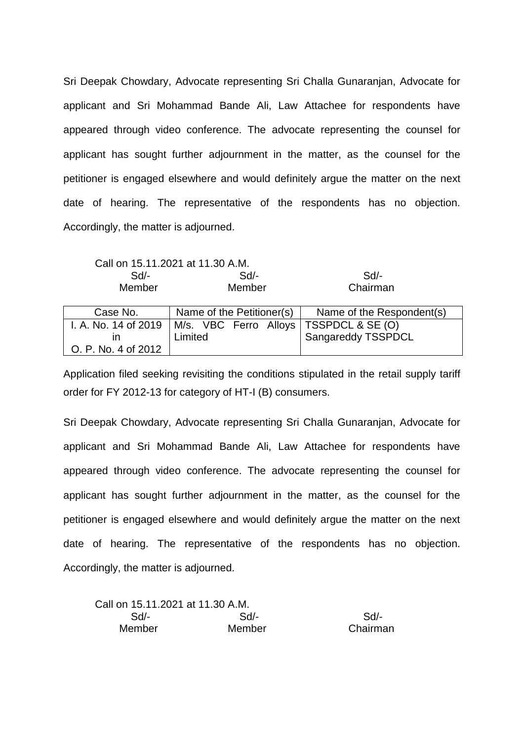Sri Deepak Chowdary, Advocate representing Sri Challa Gunaranjan, Advocate for applicant and Sri Mohammad Bande Ali, Law Attachee for respondents have appeared through video conference. The advocate representing the counsel for applicant has sought further adjournment in the matter, as the counsel for the petitioner is engaged elsewhere and would definitely argue the matter on the next date of hearing. The representative of the respondents has no objection. Accordingly, the matter is adjourned.

Call on 15.11.2021 at 11.30 A.M.

| Sd/-   | Sd/-   | Sd/-     |
|--------|--------|----------|
| Member | Member | Chairman |

| Case No.             | Name of the Petitioner(s)                | Name of the Respondent(s) |
|----------------------|------------------------------------------|---------------------------|
| I. A. No. 14 of 2019 | M/s. VBC Ferro Alloys   TSSPDCL & SE (O) |                           |
|                      | Limited                                  | Sangareddy TSSPDCL        |
| O. P. No. 4 of 2012  |                                          |                           |

Application filed seeking revisiting the conditions stipulated in the retail supply tariff order for FY 2012-13 for category of HT-I (B) consumers.

Sri Deepak Chowdary, Advocate representing Sri Challa Gunaranjan, Advocate for applicant and Sri Mohammad Bande Ali, Law Attachee for respondents have appeared through video conference. The advocate representing the counsel for applicant has sought further adjournment in the matter, as the counsel for the petitioner is engaged elsewhere and would definitely argue the matter on the next date of hearing. The representative of the respondents has no objection. Accordingly, the matter is adjourned.

| Call on 15.11.2021 at 11.30 A.M. |        |          |
|----------------------------------|--------|----------|
| $Sd$ -                           | Sd/-   | $Sd/$ -  |
| Member                           | Member | Chairman |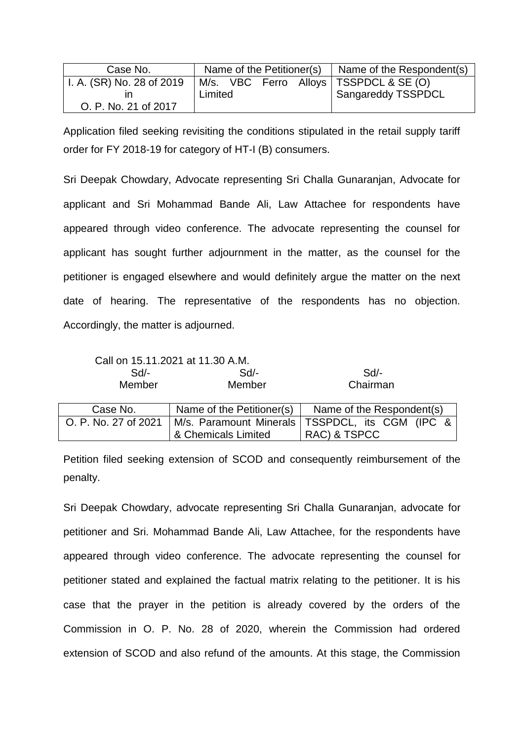| Case No.                  |         |  | Name of the Petitioner(s) $\vert$ Name of the Respondent(s) |
|---------------------------|---------|--|-------------------------------------------------------------|
| I. A. (SR) No. 28 of 2019 |         |  | M/s. VBC Ferro Alloys   TSSPDCL & SE (O)                    |
|                           | Limited |  | <sup>1</sup> Sangareddy TSSPDCL                             |
| O. P. No. 21 of 2017      |         |  |                                                             |

Application filed seeking revisiting the conditions stipulated in the retail supply tariff order for FY 2018-19 for category of HT-I (B) consumers.

Sri Deepak Chowdary, Advocate representing Sri Challa Gunaranjan, Advocate for applicant and Sri Mohammad Bande Ali, Law Attachee for respondents have appeared through video conference. The advocate representing the counsel for applicant has sought further adjournment in the matter, as the counsel for the petitioner is engaged elsewhere and would definitely argue the matter on the next date of hearing. The representative of the respondents has no objection. Accordingly, the matter is adjourned.

|                      | Call on 15.11.2021 at 11.30 A.M. |                                                   |  |
|----------------------|----------------------------------|---------------------------------------------------|--|
| $Sd$ -               | $Sd$ -                           | Sd/-                                              |  |
| Member               | Member                           | Chairman                                          |  |
| Case No.             | Name of the Petitioner(s)        | Name of the Respondent(s)                         |  |
| O. P. No. 27 of 2021 |                                  | M/s. Paramount Minerals   TSSPDCL, its CGM (IPC & |  |
|                      | & Chemicals Limited              | RAC) & TSPCC                                      |  |

Petition filed seeking extension of SCOD and consequently reimbursement of the penalty.

Sri Deepak Chowdary, advocate representing Sri Challa Gunaranjan, advocate for petitioner and Sri. Mohammad Bande Ali, Law Attachee, for the respondents have appeared through video conference. The advocate representing the counsel for petitioner stated and explained the factual matrix relating to the petitioner. It is his case that the prayer in the petition is already covered by the orders of the Commission in O. P. No. 28 of 2020, wherein the Commission had ordered extension of SCOD and also refund of the amounts. At this stage, the Commission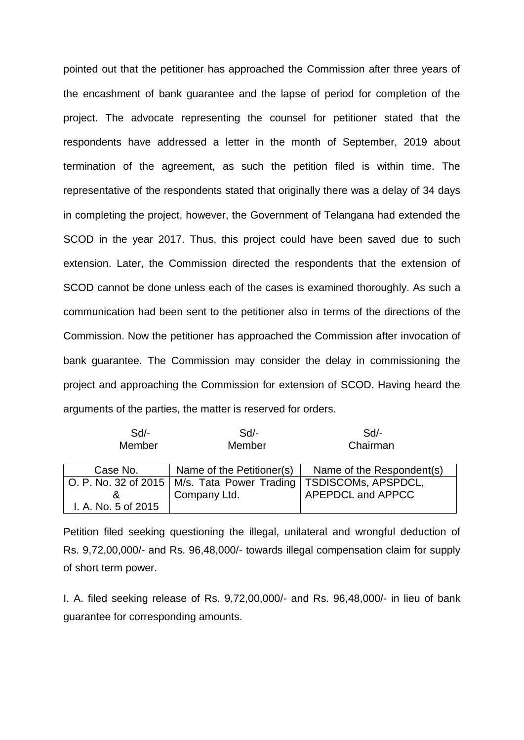pointed out that the petitioner has approached the Commission after three years of the encashment of bank guarantee and the lapse of period for completion of the project. The advocate representing the counsel for petitioner stated that the respondents have addressed a letter in the month of September, 2019 about termination of the agreement, as such the petition filed is within time. The representative of the respondents stated that originally there was a delay of 34 days in completing the project, however, the Government of Telangana had extended the SCOD in the year 2017. Thus, this project could have been saved due to such extension. Later, the Commission directed the respondents that the extension of SCOD cannot be done unless each of the cases is examined thoroughly. As such a communication had been sent to the petitioner also in terms of the directions of the Commission. Now the petitioner has approached the Commission after invocation of bank guarantee. The Commission may consider the delay in commissioning the project and approaching the Commission for extension of SCOD. Having heard the arguments of the parties, the matter is reserved for orders.

| Sd                  | $Sd$ -                                                               | Sd                        |
|---------------------|----------------------------------------------------------------------|---------------------------|
| Member              | Member                                                               | Chairman                  |
|                     |                                                                      |                           |
| Case No.            | Name of the Petitioner(s)                                            | Name of the Respondent(s) |
|                     | O. P. No. 32 of 2015   M/s. Tata Power Trading   TSDISCOMs, APSPDCL, |                           |
| ሏ                   | Company Ltd.                                                         | APEPDCL and APPCC         |
| I. A. No. 5 of 2015 |                                                                      |                           |

Petition filed seeking questioning the illegal, unilateral and wrongful deduction of Rs. 9,72,00,000/- and Rs. 96,48,000/- towards illegal compensation claim for supply of short term power.

I. A. filed seeking release of Rs. 9,72,00,000/- and Rs. 96,48,000/- in lieu of bank guarantee for corresponding amounts.